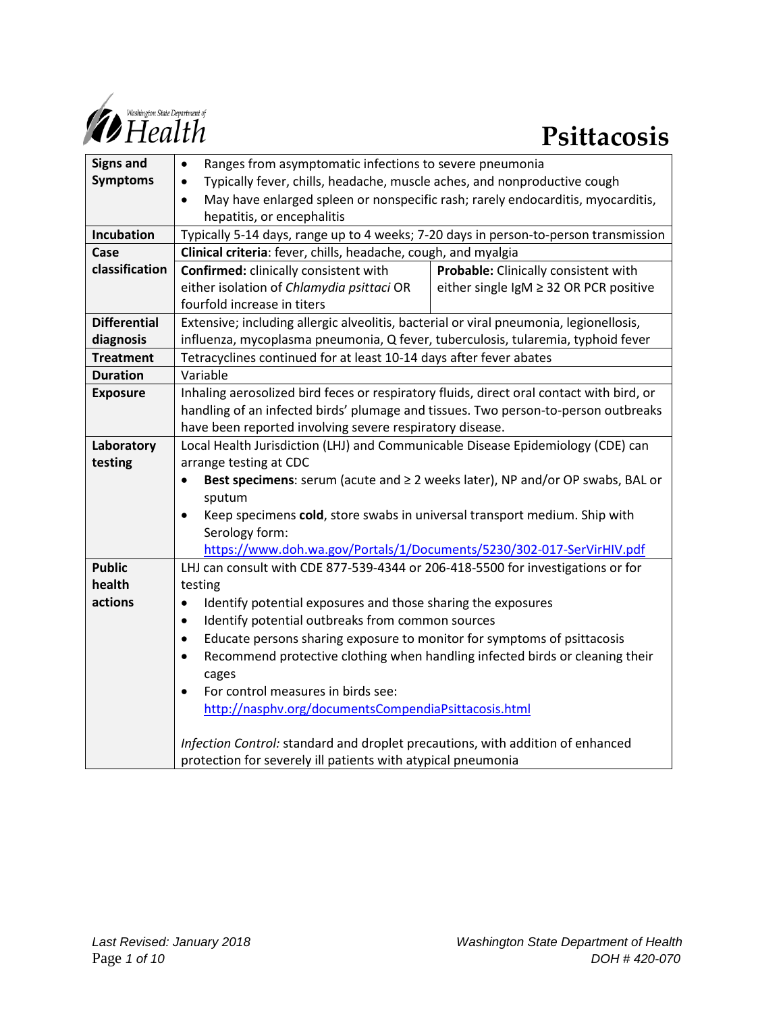

| <b>Signs and</b>    | Ranges from asymptomatic infections to severe pneumonia<br>٠                                 |                                        |
|---------------------|----------------------------------------------------------------------------------------------|----------------------------------------|
| <b>Symptoms</b>     | Typically fever, chills, headache, muscle aches, and nonproductive cough                     |                                        |
|                     | May have enlarged spleen or nonspecific rash; rarely endocarditis, myocarditis,<br>$\bullet$ |                                        |
|                     | hepatitis, or encephalitis                                                                   |                                        |
| Incubation          | Typically 5-14 days, range up to 4 weeks; 7-20 days in person-to-person transmission         |                                        |
| Case                | Clinical criteria: fever, chills, headache, cough, and myalgia                               |                                        |
| classification      | <b>Confirmed:</b> clinically consistent with                                                 | Probable: Clinically consistent with   |
|                     | either isolation of Chlamydia psittaci OR                                                    | either single IgM ≥ 32 OR PCR positive |
|                     | fourfold increase in titers                                                                  |                                        |
| <b>Differential</b> | Extensive; including allergic alveolitis, bacterial or viral pneumonia, legionellosis,       |                                        |
| diagnosis           | influenza, mycoplasma pneumonia, Q fever, tuberculosis, tularemia, typhoid fever             |                                        |
| <b>Treatment</b>    | Tetracyclines continued for at least 10-14 days after fever abates                           |                                        |
| <b>Duration</b>     | Variable                                                                                     |                                        |
| <b>Exposure</b>     | Inhaling aerosolized bird feces or respiratory fluids, direct oral contact with bird, or     |                                        |
|                     | handling of an infected birds' plumage and tissues. Two person-to-person outbreaks           |                                        |
|                     | have been reported involving severe respiratory disease.                                     |                                        |
| Laboratory          | Local Health Jurisdiction (LHJ) and Communicable Disease Epidemiology (CDE) can              |                                        |
| testing             | arrange testing at CDC                                                                       |                                        |
|                     | Best specimens: serum (acute and ≥ 2 weeks later), NP and/or OP swabs, BAL or<br>$\bullet$   |                                        |
|                     | sputum                                                                                       |                                        |
|                     | Keep specimens cold, store swabs in universal transport medium. Ship with<br>$\bullet$       |                                        |
|                     | Serology form:                                                                               |                                        |
|                     | https://www.doh.wa.gov/Portals/1/Documents/5230/302-017-SerVirHIV.pdf                        |                                        |
| <b>Public</b>       | LHJ can consult with CDE 877-539-4344 or 206-418-5500 for investigations or for              |                                        |
| health              | testing                                                                                      |                                        |
| actions             | Identify potential exposures and those sharing the exposures<br>$\bullet$                    |                                        |
|                     | Identify potential outbreaks from common sources<br>$\bullet$                                |                                        |
|                     | Educate persons sharing exposure to monitor for symptoms of psittacosis<br>$\bullet$         |                                        |
|                     | Recommend protective clothing when handling infected birds or cleaning their<br>$\bullet$    |                                        |
|                     | cages                                                                                        |                                        |
|                     | For control measures in birds see:                                                           |                                        |
|                     | http://nasphv.org/documentsCompendiaPsittacosis.html                                         |                                        |
|                     | Infection Control: standard and droplet precautions, with addition of enhanced               |                                        |
|                     | protection for severely ill patients with atypical pneumonia                                 |                                        |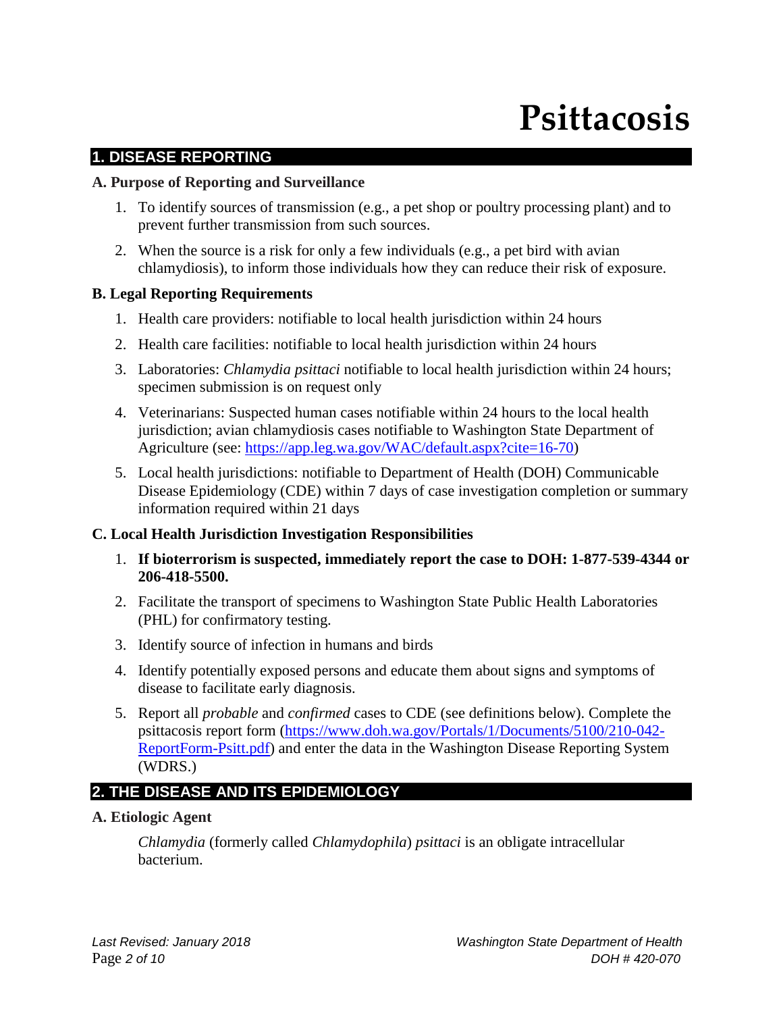# **Psittacosis**

# **1. DISEASE REPORTING**

#### **A. Purpose of Reporting and Surveillance**

- 1. To identify sources of transmission (e.g., a pet shop or poultry processing plant) and to prevent further transmission from such sources.
- 2. When the source is a risk for only a few individuals (e.g., a pet bird with avian chlamydiosis), to inform those individuals how they can reduce their risk of exposure.

# **B. Legal Reporting Requirements**

- 1. Health care providers: notifiable to local health jurisdiction within 24 hours
- 2. Health care facilities: notifiable to local health jurisdiction within 24 hours
- 3. Laboratories: *Chlamydia psittaci* notifiable to local health jurisdiction within 24 hours; specimen submission is on request only
- 4. Veterinarians: Suspected human cases notifiable within 24 hours to the local health jurisdiction; avian chlamydiosis cases notifiable to Washington State Department of Agriculture (see: [https://app.leg.wa.gov/WAC/default.aspx?cite=16-70\)](https://app.leg.wa.gov/WAC/default.aspx?cite=16-70)
- 5. Local health jurisdictions: notifiable to Department of Health (DOH) Communicable Disease Epidemiology (CDE) within 7 days of case investigation completion or summary information required within 21 days

# **C. Local Health Jurisdiction Investigation Responsibilities**

- 1. **If bioterrorism is suspected, immediately report the case to DOH: 1-877-539-4344 or 206-418-5500.**
- 2. Facilitate the transport of specimens to Washington State Public Health Laboratories (PHL) for confirmatory testing.
- 3. Identify source of infection in humans and birds
- 4. Identify potentially exposed persons and educate them about signs and symptoms of disease to facilitate early diagnosis.
- 5. Report all *probable* and *confirmed* cases to CDE (see definitions below). Complete the psittacosis report form [\(https://www.doh.wa.gov/Portals/1/Documents/5100/210-042-](https://www.doh.wa.gov/Portals/1/Documents/5100/210-042-ReportForm-Psitt.pdf) [ReportForm-Psitt.pdf\)](https://www.doh.wa.gov/Portals/1/Documents/5100/210-042-ReportForm-Psitt.pdf) and enter the data in the Washington Disease Reporting System (WDRS.)

# **2. THE DISEASE AND ITS EPIDEMIOLOGY**

# **A. Etiologic Agent**

*Chlamydia* (formerly called *Chlamydophila*) *psittaci* is an obligate intracellular bacterium.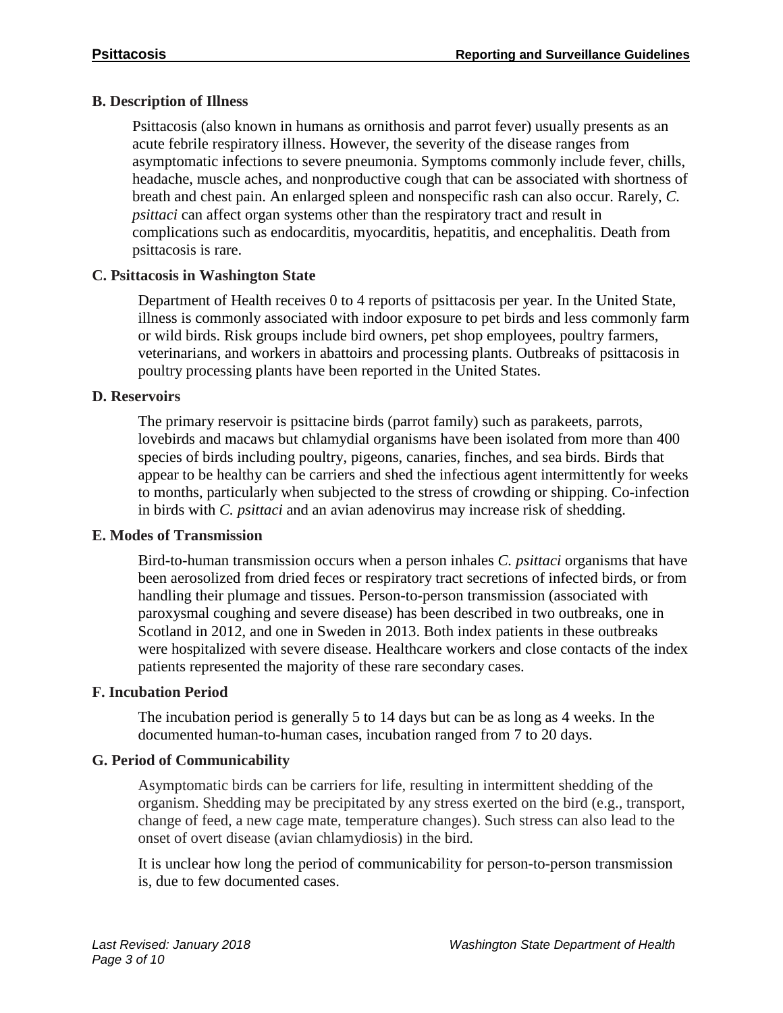# **B. Description of Illness**

Psittacosis (also known in humans as ornithosis and parrot fever) usually presents as an acute febrile respiratory illness. However, the severity of the disease ranges from asymptomatic infections to severe pneumonia. Symptoms commonly include fever, chills, headache, muscle aches, and nonproductive cough that can be associated with shortness of breath and chest pain. An enlarged spleen and nonspecific rash can also occur. Rarely, *C. psittaci* can affect organ systems other than the respiratory tract and result in complications such as endocarditis, myocarditis, hepatitis, and encephalitis. Death from psittacosis is rare.

# **C. Psittacosis in Washington State**

Department of Health receives 0 to 4 reports of psittacosis per year. In the United State, illness is commonly associated with indoor exposure to pet birds and less commonly farm or wild birds. Risk groups include bird owners, pet shop employees, poultry farmers, veterinarians, and workers in abattoirs and processing plants. Outbreaks of psittacosis in poultry processing plants have been reported in the United States.

# **D. Reservoirs**

The primary reservoir is psittacine birds (parrot family) such as parakeets, parrots, lovebirds and macaws but chlamydial organisms have been isolated from more than 400 species of birds including poultry, pigeons, canaries, finches, and sea birds. Birds that appear to be healthy can be carriers and shed the infectious agent intermittently for weeks to months, particularly when subjected to the stress of crowding or shipping. Co-infection in birds with *C. psittaci* and an avian adenovirus may increase risk of shedding.

# **E. Modes of Transmission**

Bird-to-human transmission occurs when a person inhales *C. psittaci* organisms that have been aerosolized from dried feces or respiratory tract secretions of infected birds, or from handling their plumage and tissues. Person-to-person transmission (associated with paroxysmal coughing and severe disease) has been described in two outbreaks, one in Scotland in 2012, and one in Sweden in 2013. Both index patients in these outbreaks were hospitalized with severe disease. Healthcare workers and close contacts of the index patients represented the majority of these rare secondary cases.

# **F. Incubation Period**

The incubation period is generally 5 to 14 days but can be as long as 4 weeks. In the documented human-to-human cases, incubation ranged from 7 to 20 days.

# **G. Period of Communicability**

Asymptomatic birds can be carriers for life, resulting in intermittent shedding of the organism. Shedding may be precipitated by any stress exerted on the bird (e.g., transport, change of feed, a new cage mate, temperature changes). Such stress can also lead to the onset of overt disease (avian chlamydiosis) in the bird.

It is unclear how long the period of communicability for person-to-person transmission is, due to few documented cases.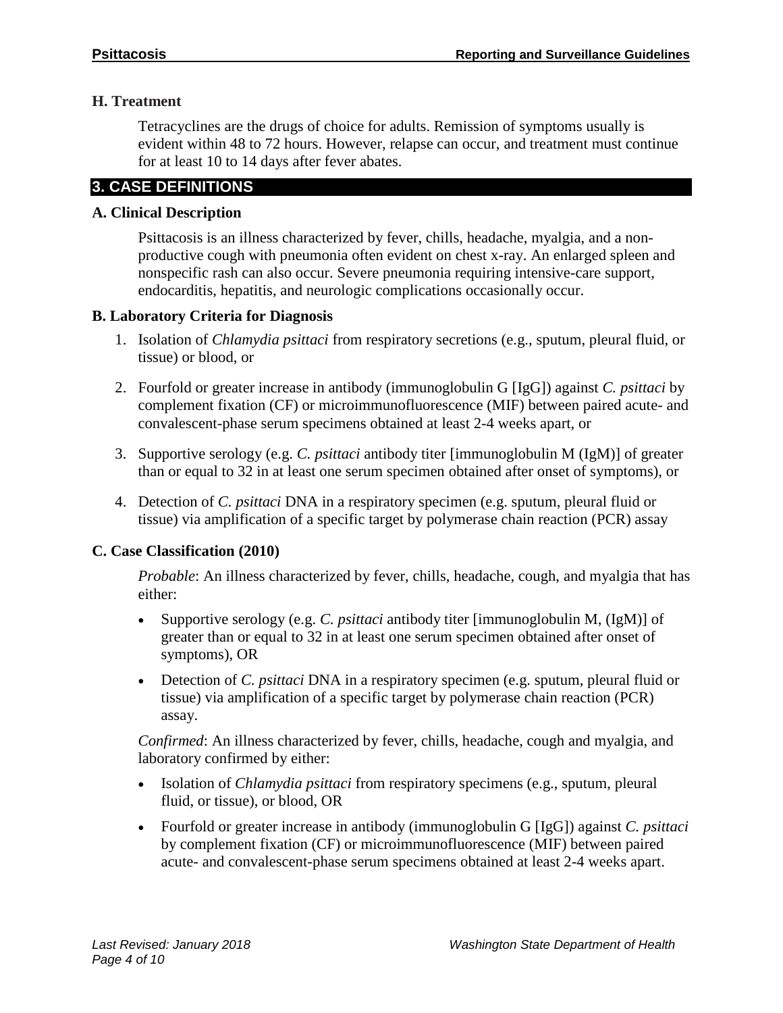# **H. Treatment**

Tetracyclines are the drugs of choice for adults. Remission of symptoms usually is evident within 48 to 72 hours. However, relapse can occur, and treatment must continue for at least 10 to 14 days after fever abates.

# **3. CASE DEFINITIONS**

# **A. Clinical Description**

Psittacosis is an illness characterized by fever, chills, headache, myalgia, and a nonproductive cough with pneumonia often evident on chest x-ray. An enlarged spleen and nonspecific rash can also occur. Severe pneumonia requiring intensive-care support, endocarditis, hepatitis, and neurologic complications occasionally occur.

#### **B. Laboratory Criteria for Diagnosis**

- 1. Isolation of *Chlamydia psittaci* from respiratory secretions (e.g., sputum, pleural fluid, or tissue) or blood, or
- 2. Fourfold or greater increase in antibody (immunoglobulin G [IgG]) against *C. psittaci* by complement fixation (CF) or microimmunofluorescence (MIF) between paired acute- and convalescent-phase serum specimens obtained at least 2-4 weeks apart, or
- 3. Supportive serology (e.g. *C. psittaci* antibody titer [immunoglobulin M (IgM)] of greater than or equal to 32 in at least one serum specimen obtained after onset of symptoms), or
- 4. Detection of *C. psittaci* DNA in a respiratory specimen (e.g. sputum, pleural fluid or tissue) via amplification of a specific target by polymerase chain reaction (PCR) assay

# **C. Case Classification (2010)**

*Probable*: An illness characterized by fever, chills, headache, cough, and myalgia that has either:

- Supportive serology (e.g. *C. psittaci* antibody titer [immunoglobulin M, (IgM)] of greater than or equal to 32 in at least one serum specimen obtained after onset of symptoms), OR
- Detection of *C. psittaci* DNA in a respiratory specimen (e.g. sputum, pleural fluid or tissue) via amplification of a specific target by polymerase chain reaction (PCR) assay.

*Confirmed*: An illness characterized by fever, chills, headache, cough and myalgia, and laboratory confirmed by either:

- Isolation of *Chlamydia psittaci* from respiratory specimens (e.g., sputum, pleural fluid, or tissue), or blood, OR
- Fourfold or greater increase in antibody (immunoglobulin G [IgG]) against *C. psittaci* by complement fixation (CF) or microimmunofluorescence (MIF) between paired acute- and convalescent-phase serum specimens obtained at least 2-4 weeks apart.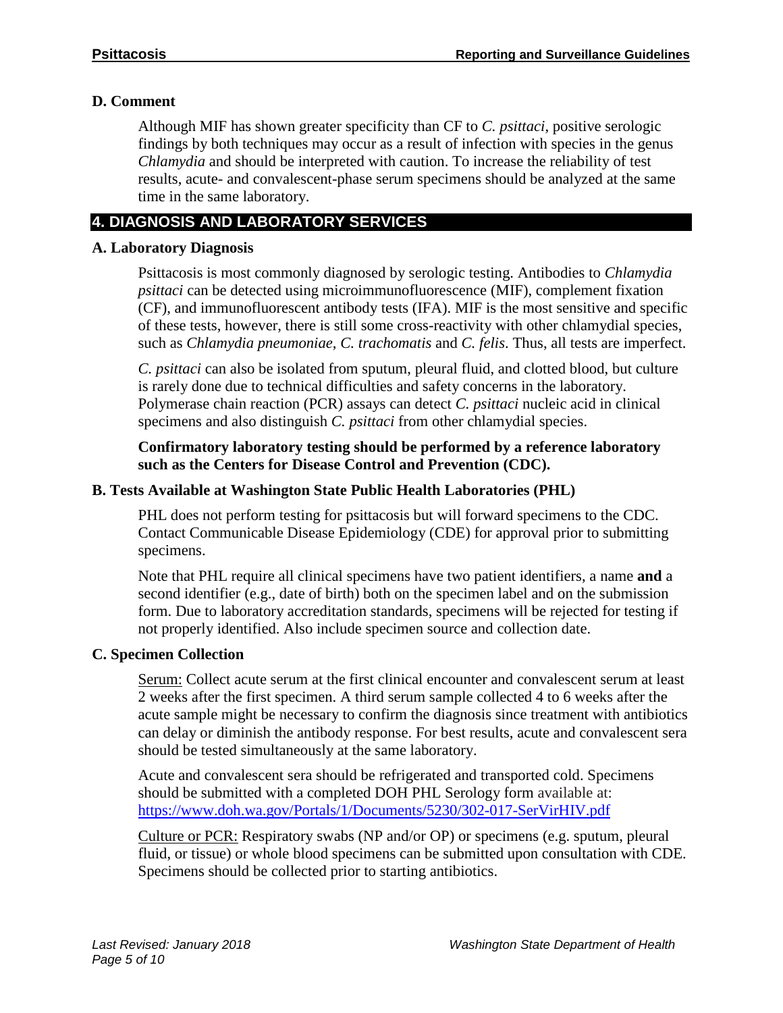# **D. Comment**

Although MIF has shown greater specificity than CF to *C. psittaci*, positive serologic findings by both techniques may occur as a result of infection with species in the genus *Chlamydia* and should be interpreted with caution. To increase the reliability of test results, acute- and convalescent-phase serum specimens should be analyzed at the same time in the same laboratory.

# **4. DIAGNOSIS AND LABORATORY SERVICES**

# **A. Laboratory Diagnosis**

Psittacosis is most commonly diagnosed by serologic testing. Antibodies to *Chlamydia psittaci* can be detected using microimmunofluorescence (MIF), complement fixation (CF), and immunofluorescent antibody tests (IFA). MIF is the most sensitive and specific of these tests, however, there is still some cross-reactivity with other chlamydial species, such as *Chlamydia pneumoniae*, *C. trachomatis* and *C. felis*. Thus, all tests are imperfect.

*C. psittaci* can also be isolated from sputum, pleural fluid, and clotted blood, but culture is rarely done due to technical difficulties and safety concerns in the laboratory. Polymerase chain reaction (PCR) assays can detect *C. psittaci* nucleic acid in clinical specimens and also distinguish *C. psittaci* from other chlamydial species.

# **Confirmatory laboratory testing should be performed by a reference laboratory such as the Centers for Disease Control and Prevention (CDC).**

# **B. Tests Available at Washington State Public Health Laboratories (PHL)**

PHL does not perform testing for psittacosis but will forward specimens to the CDC. Contact Communicable Disease Epidemiology (CDE) for approval prior to submitting specimens.

Note that PHL require all clinical specimens have two patient identifiers, a name **and** a second identifier (e.g., date of birth) both on the specimen label and on the submission form. Due to laboratory accreditation standards, specimens will be rejected for testing if not properly identified. Also include specimen source and collection date.

# **C. Specimen Collection**

Serum: Collect acute serum at the first clinical encounter and convalescent serum at least 2 weeks after the first specimen. A third serum sample collected 4 to 6 weeks after the acute sample might be necessary to confirm the diagnosis since treatment with antibiotics can delay or diminish the antibody response. For best results, acute and convalescent sera should be tested simultaneously at the same laboratory.

Acute and convalescent sera should be refrigerated and transported cold. Specimens should be submitted with a completed DOH PHL Serology form available at: <https://www.doh.wa.gov/Portals/1/Documents/5230/302-017-SerVirHIV.pdf>

Culture or PCR: Respiratory swabs (NP and/or OP) or specimens (e.g. sputum, pleural fluid, or tissue) or whole blood specimens can be submitted upon consultation with CDE. Specimens should be collected prior to starting antibiotics.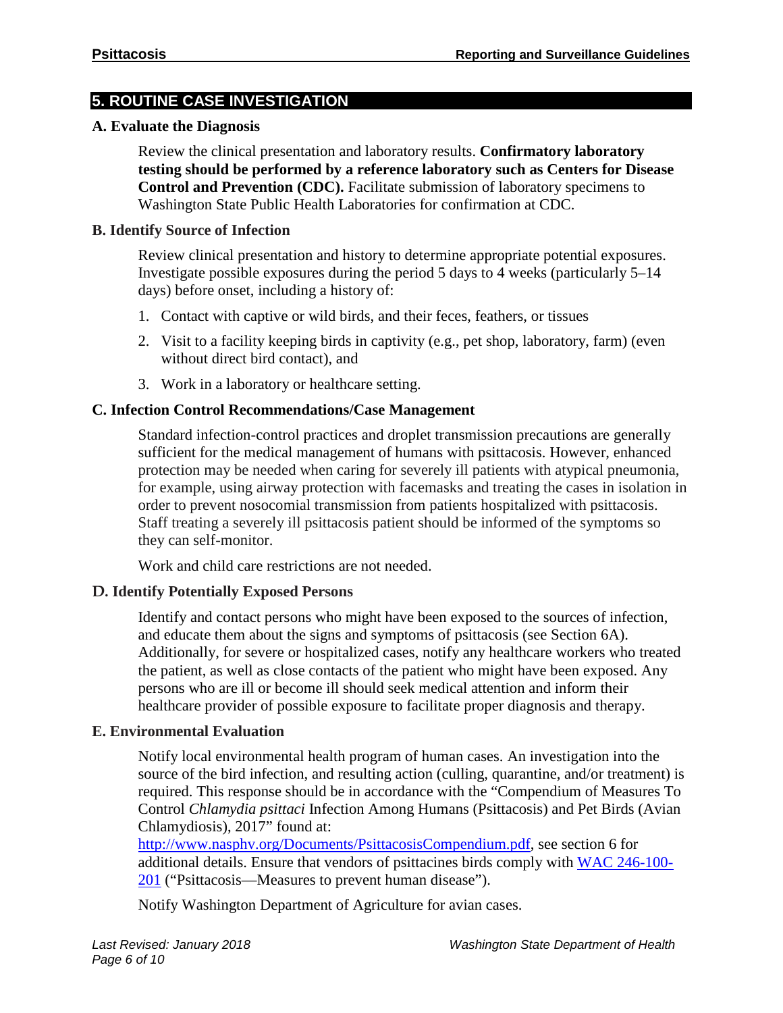# **5. ROUTINE CASE INVESTIGATION**

#### **A. Evaluate the Diagnosis**

Review the clinical presentation and laboratory results. **Confirmatory laboratory testing should be performed by a reference laboratory such as Centers for Disease Control and Prevention (CDC).** Facilitate submission of laboratory specimens to Washington State Public Health Laboratories for confirmation at CDC.

#### **B. Identify Source of Infection**

Review clinical presentation and history to determine appropriate potential exposures. Investigate possible exposures during the period 5 days to 4 weeks (particularly 5–14 days) before onset, including a history of:

- 1. Contact with captive or wild birds, and their feces, feathers, or tissues
- 2. Visit to a facility keeping birds in captivity (e.g., pet shop, laboratory, farm) (even without direct bird contact), and
- 3. Work in a laboratory or healthcare setting.

#### **C. Infection Control Recommendations/Case Management**

Standard infection-control practices and droplet transmission precautions are generally sufficient for the medical management of humans with psittacosis. However, enhanced protection may be needed when caring for severely ill patients with atypical pneumonia, for example, using airway protection with facemasks and treating the cases in isolation in order to prevent nosocomial transmission from patients hospitalized with psittacosis. Staff treating a severely ill psittacosis patient should be informed of the symptoms so they can self-monitor.

Work and child care restrictions are not needed.

#### **D. Identify Potentially Exposed Persons**

Identify and contact persons who might have been exposed to the sources of infection, and educate them about the signs and symptoms of psittacosis (see Section 6A). Additionally, for severe or hospitalized cases, notify any healthcare workers who treated the patient, as well as close contacts of the patient who might have been exposed. Any persons who are ill or become ill should seek medical attention and inform their healthcare provider of possible exposure to facilitate proper diagnosis and therapy.

#### **E. Environmental Evaluation**

Notify local environmental health program of human cases. An investigation into the source of the bird infection, and resulting action (culling, quarantine, and/or treatment) is required. This response should be in accordance with the "Compendium of Measures To Control *Chlamydia psittaci* Infection Among Humans (Psittacosis) and Pet Birds (Avian Chlamydiosis), 2017" found at:

[http://www.nasphv.org/Documents/PsittacosisCompendium.pdf,](http://www.nasphv.org/Documents/PsittacosisCompendium.pdf) see section 6 for additional details. Ensure that vendors of psittacines birds comply with [WAC 246-100-](https://app.leg.wa.gov/WAC/default.aspx?cite=246-100-201) [201](https://app.leg.wa.gov/WAC/default.aspx?cite=246-100-201) ("Psittacosis—Measures to prevent human disease").

Notify Washington Department of Agriculture for avian cases.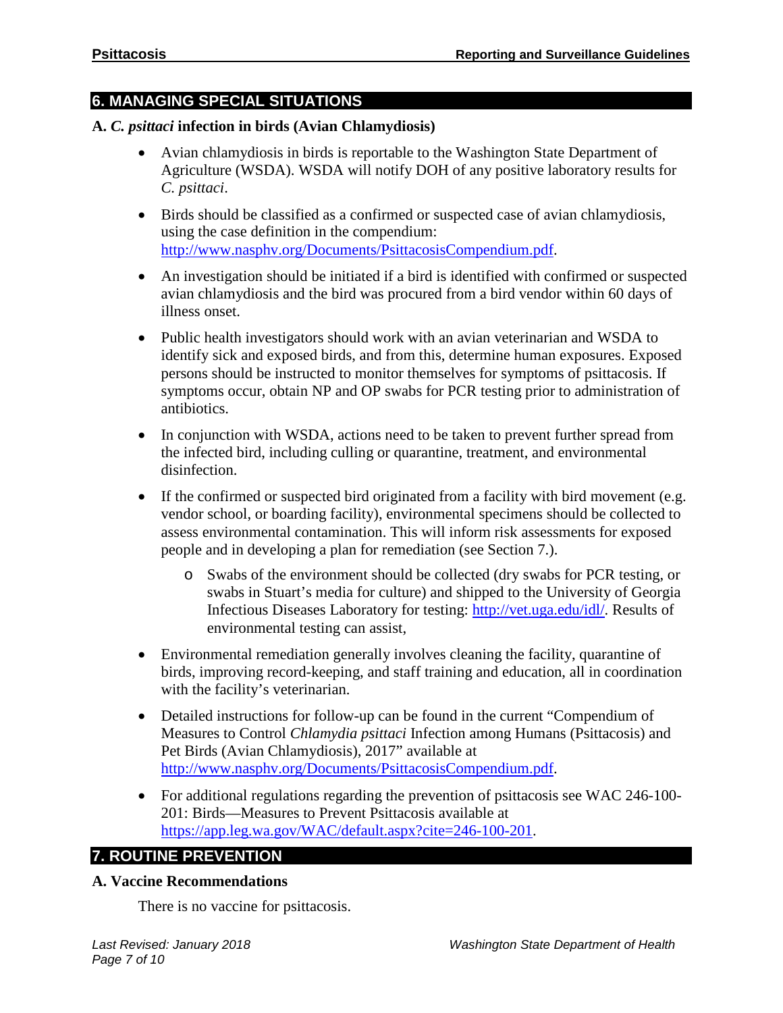# **6. MANAGING SPECIAL SITUATIONS**

# **A.** *C. psittaci* **infection in birds (Avian Chlamydiosis)**

- Avian chlamydiosis in birds is reportable to the Washington State Department of Agriculture (WSDA). WSDA will notify DOH of any positive laboratory results for *C. psittaci*.
- Birds should be classified as a confirmed or suspected case of avian chlamydiosis, using the case definition in the compendium: [http://www.nasphv.org/Documents/PsittacosisCompendium.pdf.](http://www.nasphv.org/Documents/PsittacosisCompendium.pdf)
- An investigation should be initiated if a bird is identified with confirmed or suspected avian chlamydiosis and the bird was procured from a bird vendor within 60 days of illness onset.
- Public health investigators should work with an avian veterinarian and WSDA to identify sick and exposed birds, and from this, determine human exposures. Exposed persons should be instructed to monitor themselves for symptoms of psittacosis. If symptoms occur, obtain NP and OP swabs for PCR testing prior to administration of antibiotics.
- In conjunction with WSDA, actions need to be taken to prevent further spread from the infected bird, including culling or quarantine, treatment, and environmental disinfection.
- If the confirmed or suspected bird originated from a facility with bird movement (e.g. vendor school, or boarding facility), environmental specimens should be collected to assess environmental contamination. This will inform risk assessments for exposed people and in developing a plan for remediation (see Section 7.).
	- o Swabs of the environment should be collected (dry swabs for PCR testing, or swabs in Stuart's media for culture) and shipped to the University of Georgia Infectious Diseases Laboratory for testing: [http://vet.uga.edu/idl/.](http://vet.uga.edu/idl/) Results of environmental testing can assist,
- Environmental remediation generally involves cleaning the facility, quarantine of birds, improving record-keeping, and staff training and education, all in coordination with the facility's veterinarian.
- Detailed instructions for follow-up can be found in the current "Compendium of Measures to Control *Chlamydia psittaci* Infection among Humans (Psittacosis) and Pet Birds (Avian Chlamydiosis), 2017" available at [http://www.nasphv.org/Documents/PsittacosisCompendium.pdf.](http://www.nasphv.org/Documents/PsittacosisCompendium.pdf)
- For additional regulations regarding the prevention of psittacosis see WAC 246-100-201: Birds—Measures to Prevent Psittacosis available at [https://app.leg.wa.gov/WAC/default.aspx?cite=246-100-201.](https://app.leg.wa.gov/WAC/default.aspx?cite=246-100-201)

# **7. ROUTINE PREVENTION**

# **A. Vaccine Recommendations**

There is no vaccine for psittacosis.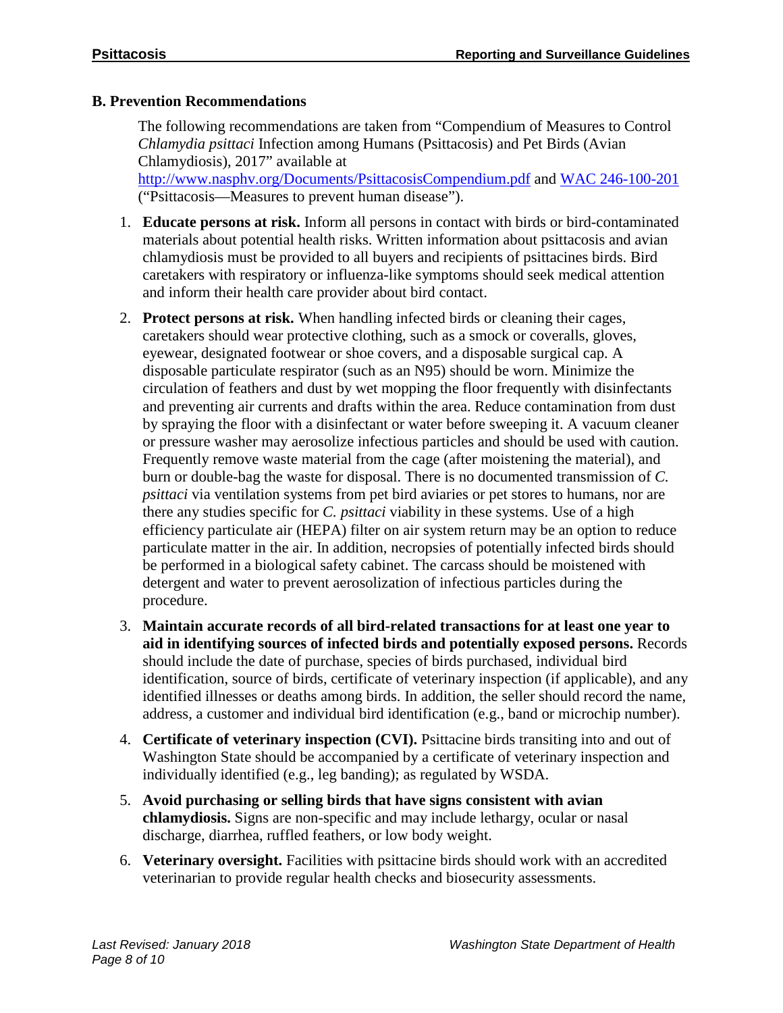# **B. Prevention Recommendations**

The following recommendations are taken from "Compendium of Measures to Control *Chlamydia psittaci* Infection among Humans (Psittacosis) and Pet Birds (Avian Chlamydiosis), 2017" available at <http://www.nasphv.org/Documents/PsittacosisCompendium.pdf> and [WAC 246-100-201](http://app.leg.wa.gov/WAC/default.aspx?cite=246-100-201) ("Psittacosis—Measures to prevent human disease").

1. **Educate persons at risk.** Inform all persons in contact with birds or bird-contaminated materials about potential health risks. Written information about psittacosis and avian chlamydiosis must be provided to all buyers and recipients of psittacines birds. Bird caretakers with respiratory or influenza-like symptoms should seek medical attention and inform their health care provider about bird contact.

- 2. **Protect persons at risk.** When handling infected birds or cleaning their cages, caretakers should wear protective clothing, such as a smock or coveralls, gloves, eyewear, designated footwear or shoe covers, and a disposable surgical cap. A disposable particulate respirator (such as an N95) should be worn. Minimize the circulation of feathers and dust by wet mopping the floor frequently with disinfectants and preventing air currents and drafts within the area. Reduce contamination from dust by spraying the floor with a disinfectant or water before sweeping it. A vacuum cleaner or pressure washer may aerosolize infectious particles and should be used with caution. Frequently remove waste material from the cage (after moistening the material), and burn or double-bag the waste for disposal. There is no documented transmission of *C. psittaci* via ventilation systems from pet bird aviaries or pet stores to humans, nor are there any studies specific for *C. psittaci* viability in these systems. Use of a high efficiency particulate air (HEPA) filter on air system return may be an option to reduce particulate matter in the air. In addition, necropsies of potentially infected birds should be performed in a biological safety cabinet. The carcass should be moistened with detergent and water to prevent aerosolization of infectious particles during the procedure.
- 3. **Maintain accurate records of all bird-related transactions for at least one year to aid in identifying sources of infected birds and potentially exposed persons.** Records should include the date of purchase, species of birds purchased, individual bird identification, source of birds, certificate of veterinary inspection (if applicable), and any identified illnesses or deaths among birds. In addition, the seller should record the name, address, a customer and individual bird identification (e.g., band or microchip number).
- 4. **Certificate of veterinary inspection (CVI).** Psittacine birds transiting into and out of Washington State should be accompanied by a certificate of veterinary inspection and individually identified (e.g., leg banding); as regulated by WSDA.
- 5. **Avoid purchasing or selling birds that have signs consistent with avian chlamydiosis.** Signs are non-specific and may include lethargy, ocular or nasal discharge, diarrhea, ruffled feathers, or low body weight.
- 6. **Veterinary oversight.** Facilities with psittacine birds should work with an accredited veterinarian to provide regular health checks and biosecurity assessments.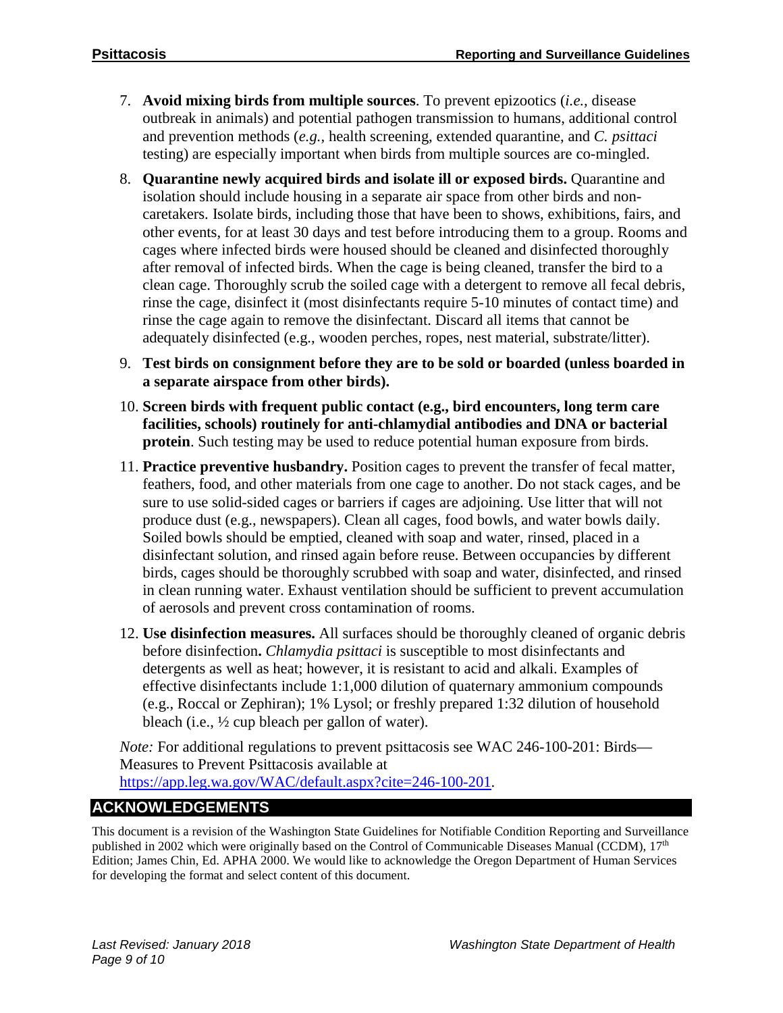- 7. **Avoid mixing birds from multiple sources**. To prevent epizootics (*i.e.,* disease outbreak in animals) and potential pathogen transmission to humans, additional control and prevention methods (*e.g.,* health screening, extended quarantine, and *C. psittaci*  testing) are especially important when birds from multiple sources are co-mingled.
- 8. **Quarantine newly acquired birds and isolate ill or exposed birds.** Quarantine and isolation should include housing in a separate air space from other birds and noncaretakers. Isolate birds, including those that have been to shows, exhibitions, fairs, and other events, for at least 30 days and test before introducing them to a group. Rooms and cages where infected birds were housed should be cleaned and disinfected thoroughly after removal of infected birds. When the cage is being cleaned, transfer the bird to a clean cage. Thoroughly scrub the soiled cage with a detergent to remove all fecal debris, rinse the cage, disinfect it (most disinfectants require 5-10 minutes of contact time) and rinse the cage again to remove the disinfectant. Discard all items that cannot be adequately disinfected (e.g., wooden perches, ropes, nest material, substrate/litter).
- 9. **Test birds on consignment before they are to be sold or boarded (unless boarded in a separate airspace from other birds).**
- 10. **Screen birds with frequent public contact (e.g., bird encounters, long term care facilities, schools) routinely for anti-chlamydial antibodies and DNA or bacterial protein**. Such testing may be used to reduce potential human exposure from birds.
- 11. **Practice preventive husbandry.** Position cages to prevent the transfer of fecal matter, feathers, food, and other materials from one cage to another. Do not stack cages, and be sure to use solid-sided cages or barriers if cages are adjoining. Use litter that will not produce dust (e.g., newspapers). Clean all cages, food bowls, and water bowls daily. Soiled bowls should be emptied, cleaned with soap and water, rinsed, placed in a disinfectant solution, and rinsed again before reuse. Between occupancies by different birds, cages should be thoroughly scrubbed with soap and water, disinfected, and rinsed in clean running water. Exhaust ventilation should be sufficient to prevent accumulation of aerosols and prevent cross contamination of rooms.
- 12. **Use disinfection measures.** All surfaces should be thoroughly cleaned of organic debris before disinfection**.** *Chlamydia psittaci* is susceptible to most disinfectants and detergents as well as heat; however, it is resistant to acid and alkali. Examples of effective disinfectants include 1:1,000 dilution of quaternary ammonium compounds (e.g., Roccal or Zephiran); 1% Lysol; or freshly prepared 1:32 dilution of household bleach (i.e., ½ cup bleach per gallon of water).

*Note:* For additional regulations to prevent psittacosis see WAC 246-100-201: Birds— Measures to Prevent Psittacosis available at [https://app.leg.wa.gov/WAC/default.aspx?cite=246-100-201.](https://app.leg.wa.gov/WAC/default.aspx?cite=246-100-201)

# **ACKNOWLEDGEMENTS**

This document is a revision of the Washington State Guidelines for Notifiable Condition Reporting and Surveillance published in 2002 which were originally based on the Control of Communicable Diseases Manual (CCDM), 17<sup>th</sup> Edition; James Chin, Ed. APHA 2000. We would like to acknowledge the Oregon Department of Human Services for developing the format and select content of this document.